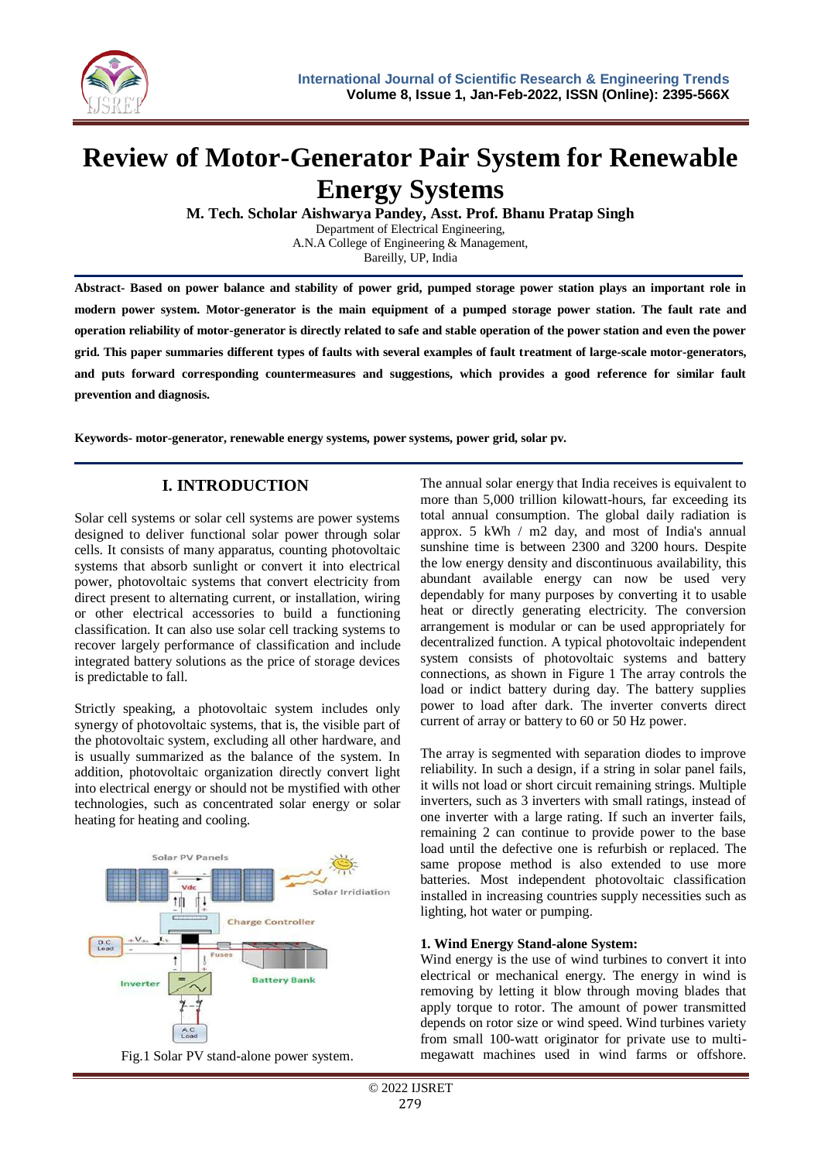

# **Review of Motor-Generator Pair System for Renewable Energy Systems**

**M. Tech. Scholar Aishwarya Pandey, Asst. Prof. Bhanu Pratap Singh**

Department of Electrical Engineering, A.N.A College of Engineering & Management, Bareilly, UP, India

**Abstract- Based on power balance and stability of power grid, pumped storage power station plays an important role in modern power system. Motor-generator is the main equipment of a pumped storage power station. The fault rate and operation reliability of motor-generator is directly related to safe and stable operation of the power station and even the power grid. This paper summaries different types of faults with several examples of fault treatment of large-scale motor-generators, and puts forward corresponding countermeasures and suggestions, which provides a good reference for similar fault prevention and diagnosis.**

**Keywords- motor-generator, renewable energy systems, power systems, power grid, solar pv.**

# **I. INTRODUCTION**

Solar cell systems or solar cell systems are power systems designed to deliver functional solar power through solar cells. It consists of many apparatus, counting photovoltaic systems that absorb sunlight or convert it into electrical power, photovoltaic systems that convert electricity from direct present to alternating current, or installation, wiring or other electrical accessories to build a functioning classification. It can also use solar cell tracking systems to recover largely performance of classification and include integrated battery solutions as the price of storage devices is predictable to fall.

Strictly speaking, a photovoltaic system includes only synergy of photovoltaic systems, that is, the visible part of the photovoltaic system, excluding all other hardware, and is usually summarized as the balance of the system. In addition, photovoltaic organization directly convert light into electrical energy or should not be mystified with other technologies, such as concentrated solar energy or solar heating for heating and cooling.





The annual solar energy that India receives is equivalent to more than 5,000 trillion kilowatt-hours, far exceeding its total annual consumption. The global daily radiation is approx. 5 kWh / m2 day, and most of India's annual sunshine time is between 2300 and 3200 hours. Despite the low energy density and discontinuous availability, this abundant available energy can now be used very dependably for many purposes by converting it to usable heat or directly generating electricity. The conversion arrangement is modular or can be used appropriately for decentralized function. A typical photovoltaic independent system consists of photovoltaic systems and battery connections, as shown in Figure 1 The array controls the load or indict battery during day. The battery supplies power to load after dark. The inverter converts direct current of array or battery to 60 or 50 Hz power.

The array is segmented with separation diodes to improve reliability. In such a design, if a string in solar panel fails, it wills not load or short circuit remaining strings. Multiple inverters, such as 3 inverters with small ratings, instead of one inverter with a large rating. If such an inverter fails, remaining 2 can continue to provide power to the base load until the defective one is refurbish or replaced. The same propose method is also extended to use more batteries. Most independent photovoltaic classification installed in increasing countries supply necessities such as lighting, hot water or pumping.

#### **1. Wind Energy Stand-alone System:**

Wind energy is the use of wind turbines to convert it into electrical or mechanical energy. The energy in wind is removing by letting it blow through moving blades that apply torque to rotor. The amount of power transmitted depends on rotor size or wind speed. Wind turbines variety from small 100-watt originator for private use to multimegawatt machines used in wind farms or offshore.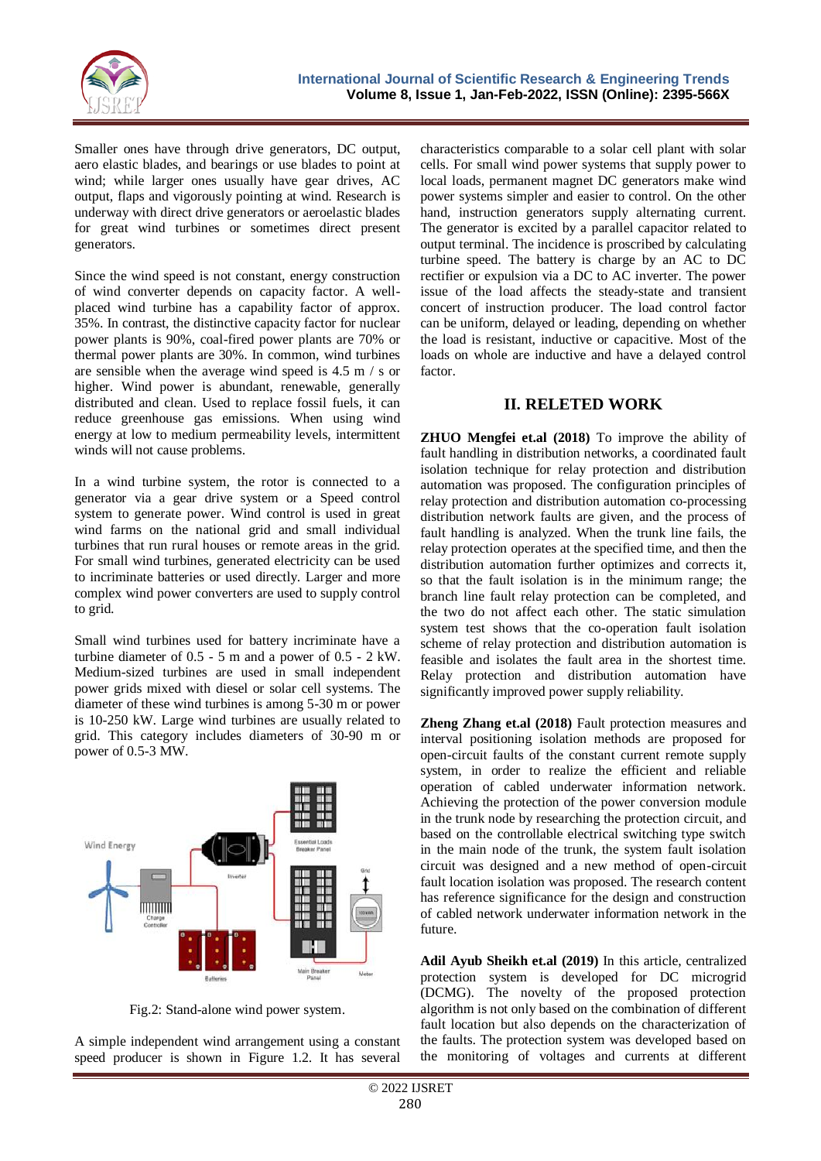

Smaller ones have through drive generators, DC output, aero elastic blades, and bearings or use blades to point at wind; while larger ones usually have gear drives, AC output, flaps and vigorously pointing at wind. Research is underway with direct drive generators or aeroelastic blades for great wind turbines or sometimes direct present generators.

Since the wind speed is not constant, energy construction of wind converter depends on capacity factor. A wellplaced wind turbine has a capability factor of approx. 35%. In contrast, the distinctive capacity factor for nuclear power plants is 90%, coal-fired power plants are 70% or thermal power plants are 30%. In common, wind turbines are sensible when the average wind speed is 4.5 m / s or higher. Wind power is abundant, renewable, generally distributed and clean. Used to replace fossil fuels, it can reduce greenhouse gas emissions. When using wind energy at low to medium permeability levels, intermittent winds will not cause problems.

In a wind turbine system, the rotor is connected to a generator via a gear drive system or a Speed control system to generate power. Wind control is used in great wind farms on the national grid and small individual turbines that run rural houses or remote areas in the grid. For small wind turbines, generated electricity can be used to incriminate batteries or used directly. Larger and more complex wind power converters are used to supply control to grid.

Small wind turbines used for battery incriminate have a turbine diameter of 0.5 - 5 m and a power of 0.5 - 2 kW. Medium-sized turbines are used in small independent power grids mixed with diesel or solar cell systems. The diameter of these wind turbines is among 5-30 m or power is 10-250 kW. Large wind turbines are usually related to grid. This category includes diameters of 30-90 m or power of 0.5-3 MW.



Fig.2: Stand-alone wind power system.

A simple independent wind arrangement using a constant speed producer is shown in Figure 1.2. It has several characteristics comparable to a solar cell plant with solar cells. For small wind power systems that supply power to local loads, permanent magnet DC generators make wind power systems simpler and easier to control. On the other hand, instruction generators supply alternating current. The generator is excited by a parallel capacitor related to output terminal. The incidence is proscribed by calculating turbine speed. The battery is charge by an AC to DC rectifier or expulsion via a DC to AC inverter. The power issue of the load affects the steady-state and transient concert of instruction producer. The load control factor can be uniform, delayed or leading, depending on whether the load is resistant, inductive or capacitive. Most of the loads on whole are inductive and have a delayed control factor.

### **II. RELETED WORK**

**ZHUO Mengfei et.al (2018)** To improve the ability of fault handling in distribution networks, a coordinated fault isolation technique for relay protection and distribution automation was proposed. The configuration principles of relay protection and distribution automation co-processing distribution network faults are given, and the process of fault handling is analyzed. When the trunk line fails, the relay protection operates at the specified time, and then the distribution automation further optimizes and corrects it, so that the fault isolation is in the minimum range; the branch line fault relay protection can be completed, and the two do not affect each other. The static simulation system test shows that the co-operation fault isolation scheme of relay protection and distribution automation is feasible and isolates the fault area in the shortest time. Relay protection and distribution automation have significantly improved power supply reliability.

**Zheng Zhang et.al (2018)** Fault protection measures and interval positioning isolation methods are proposed for open-circuit faults of the constant current remote supply system, in order to realize the efficient and reliable operation of cabled underwater information network. Achieving the protection of the power conversion module in the trunk node by researching the protection circuit, and based on the controllable electrical switching type switch in the main node of the trunk, the system fault isolation circuit was designed and a new method of open-circuit fault location isolation was proposed. The research content has reference significance for the design and construction of cabled network underwater information network in the future.

**Adil Ayub Sheikh et.al (2019)** In this article, centralized protection system is developed for DC microgrid (DCMG). The novelty of the proposed protection algorithm is not only based on the combination of different fault location but also depends on the characterization of the faults. The protection system was developed based on the monitoring of voltages and currents at different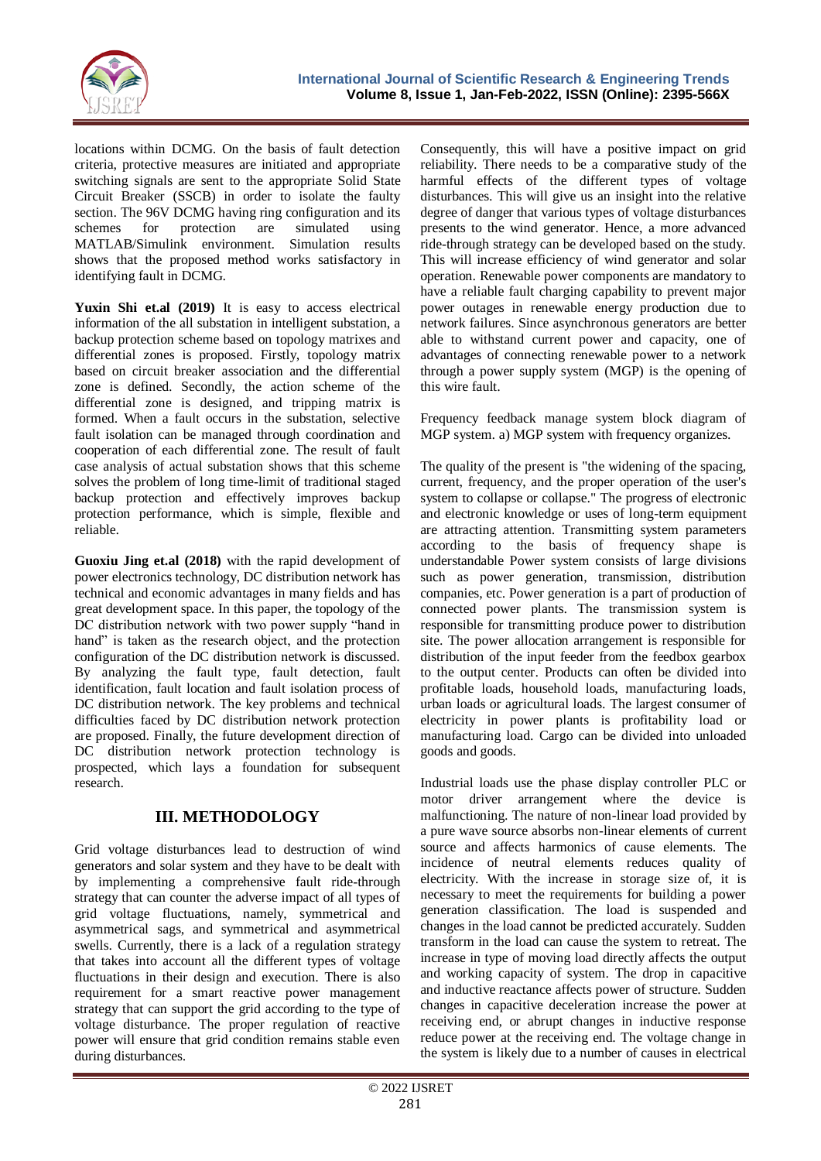

locations within DCMG. On the basis of fault detection criteria, protective measures are initiated and appropriate switching signals are sent to the appropriate Solid State Circuit Breaker (SSCB) in order to isolate the faulty section. The 96V DCMG having ring configuration and its schemes for protection are simulated using MATLAB/Simulink environment. Simulation results shows that the proposed method works satisfactory in identifying fault in DCMG.

**Yuxin Shi et.al (2019)** It is easy to access electrical information of the all substation in intelligent substation, a backup protection scheme based on topology matrixes and differential zones is proposed. Firstly, topology matrix based on circuit breaker association and the differential zone is defined. Secondly, the action scheme of the differential zone is designed, and tripping matrix is formed. When a fault occurs in the substation, selective fault isolation can be managed through coordination and cooperation of each differential zone. The result of fault case analysis of actual substation shows that this scheme solves the problem of long time-limit of traditional staged backup protection and effectively improves backup protection performance, which is simple, flexible and reliable.

**Guoxiu Jing et.al (2018)** with the rapid development of power electronics technology, DC distribution network has technical and economic advantages in many fields and has great development space. In this paper, the topology of the DC distribution network with two power supply "hand in hand" is taken as the research object, and the protection configuration of the DC distribution network is discussed. By analyzing the fault type, fault detection, fault identification, fault location and fault isolation process of DC distribution network. The key problems and technical difficulties faced by DC distribution network protection are proposed. Finally, the future development direction of DC distribution network protection technology is prospected, which lays a foundation for subsequent research.

## **III. METHODOLOGY**

Grid voltage disturbances lead to destruction of wind generators and solar system and they have to be dealt with by implementing a comprehensive fault ride-through strategy that can counter the adverse impact of all types of grid voltage fluctuations, namely, symmetrical and asymmetrical sags, and symmetrical and asymmetrical swells. Currently, there is a lack of a regulation strategy that takes into account all the different types of voltage fluctuations in their design and execution. There is also requirement for a smart reactive power management strategy that can support the grid according to the type of voltage disturbance. The proper regulation of reactive power will ensure that grid condition remains stable even during disturbances.

Consequently, this will have a positive impact on grid reliability. There needs to be a comparative study of the harmful effects of the different types of voltage disturbances. This will give us an insight into the relative degree of danger that various types of voltage disturbances presents to the wind generator. Hence, a more advanced ride-through strategy can be developed based on the study. This will increase efficiency of wind generator and solar operation. Renewable power components are mandatory to have a reliable fault charging capability to prevent major power outages in renewable energy production due to network failures. Since asynchronous generators are better able to withstand current power and capacity, one of advantages of connecting renewable power to a network through a power supply system (MGP) is the opening of this wire fault.

Frequency feedback manage system block diagram of MGP system. a) MGP system with frequency organizes.

The quality of the present is "the widening of the spacing, current, frequency, and the proper operation of the user's system to collapse or collapse." The progress of electronic and electronic knowledge or uses of long-term equipment are attracting attention. Transmitting system parameters according to the basis of frequency shape is understandable Power system consists of large divisions such as power generation, transmission, distribution companies, etc. Power generation is a part of production of connected power plants. The transmission system is responsible for transmitting produce power to distribution site. The power allocation arrangement is responsible for distribution of the input feeder from the feedbox gearbox to the output center. Products can often be divided into profitable loads, household loads, manufacturing loads, urban loads or agricultural loads. The largest consumer of electricity in power plants is profitability load or manufacturing load. Cargo can be divided into unloaded goods and goods.

Industrial loads use the phase display controller PLC or motor driver arrangement where the device is malfunctioning. The nature of non-linear load provided by a pure wave source absorbs non-linear elements of current source and affects harmonics of cause elements. The incidence of neutral elements reduces quality of electricity. With the increase in storage size of, it is necessary to meet the requirements for building a power generation classification. The load is suspended and changes in the load cannot be predicted accurately. Sudden transform in the load can cause the system to retreat. The increase in type of moving load directly affects the output and working capacity of system. The drop in capacitive and inductive reactance affects power of structure. Sudden changes in capacitive deceleration increase the power at receiving end, or abrupt changes in inductive response reduce power at the receiving end. The voltage change in the system is likely due to a number of causes in electrical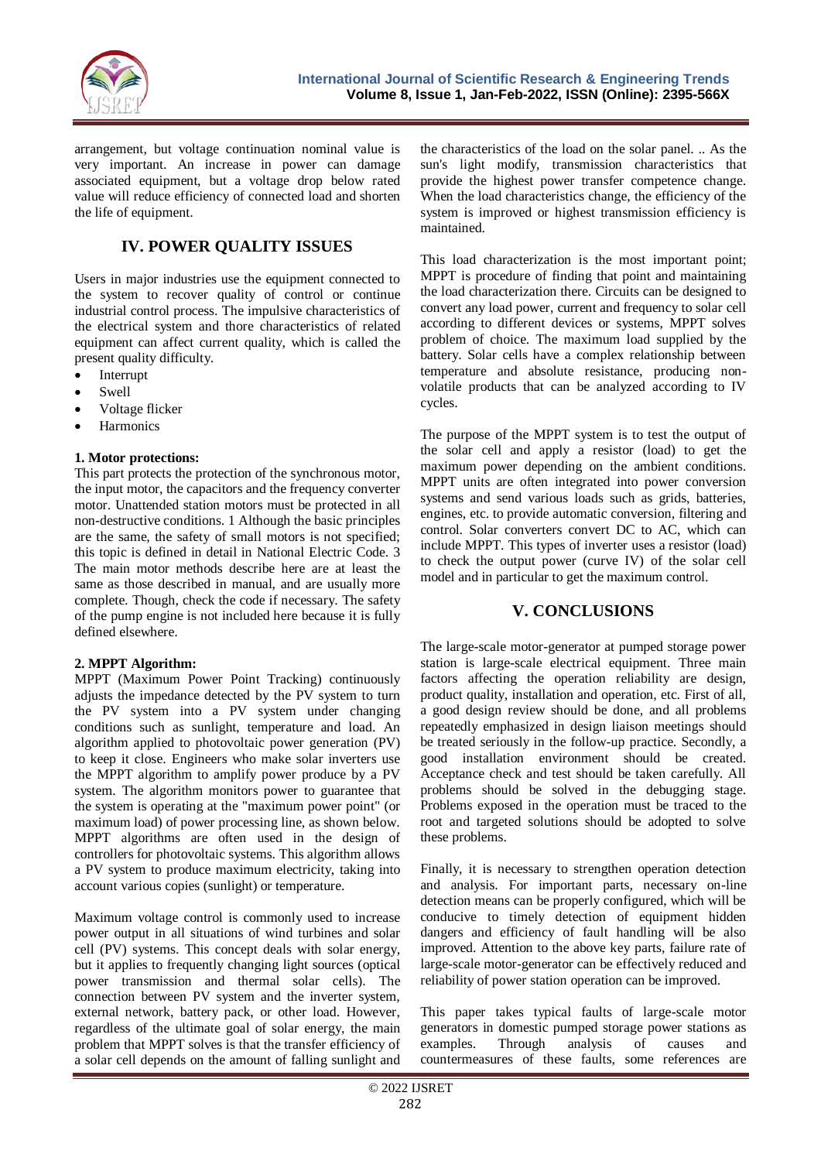

arrangement, but voltage continuation nominal value is very important. An increase in power can damage associated equipment, but a voltage drop below rated value will reduce efficiency of connected load and shorten the life of equipment.

## **IV. POWER QUALITY ISSUES**

Users in major industries use the equipment connected to the system to recover quality of control or continue industrial control process. The impulsive characteristics of the electrical system and thore characteristics of related equipment can affect current quality, which is called the present quality difficulty.

- Interrupt
- Swell
- Voltage flicker
- **Harmonics**

#### **1. Motor protections:**

This part protects the protection of the synchronous motor, the input motor, the capacitors and the frequency converter motor. Unattended station motors must be protected in all non-destructive conditions. 1 Although the basic principles are the same, the safety of small motors is not specified; this topic is defined in detail in National Electric Code. 3 The main motor methods describe here are at least the same as those described in manual, and are usually more complete. Though, check the code if necessary. The safety of the pump engine is not included here because it is fully defined elsewhere.

#### **2. MPPT Algorithm:**

MPPT (Maximum Power Point Tracking) continuously adjusts the impedance detected by the PV system to turn the PV system into a PV system under changing conditions such as sunlight, temperature and load. An algorithm applied to photovoltaic power generation (PV) to keep it close. Engineers who make solar inverters use the MPPT algorithm to amplify power produce by a PV system. The algorithm monitors power to guarantee that the system is operating at the "maximum power point" (or maximum load) of power processing line, as shown below. MPPT algorithms are often used in the design of controllers for photovoltaic systems. This algorithm allows a PV system to produce maximum electricity, taking into account various copies (sunlight) or temperature.

Maximum voltage control is commonly used to increase power output in all situations of wind turbines and solar cell (PV) systems. This concept deals with solar energy, but it applies to frequently changing light sources (optical power transmission and thermal solar cells). The connection between PV system and the inverter system, external network, battery pack, or other load. However, regardless of the ultimate goal of solar energy, the main problem that MPPT solves is that the transfer efficiency of a solar cell depends on the amount of falling sunlight and

the characteristics of the load on the solar panel. .. As the sun's light modify, transmission characteristics that provide the highest power transfer competence change. When the load characteristics change, the efficiency of the system is improved or highest transmission efficiency is maintained.

This load characterization is the most important point; MPPT is procedure of finding that point and maintaining the load characterization there. Circuits can be designed to convert any load power, current and frequency to solar cell according to different devices or systems, MPPT solves problem of choice. The maximum load supplied by the battery. Solar cells have a complex relationship between temperature and absolute resistance, producing nonvolatile products that can be analyzed according to IV cycles.

The purpose of the MPPT system is to test the output of the solar cell and apply a resistor (load) to get the maximum power depending on the ambient conditions. MPPT units are often integrated into power conversion systems and send various loads such as grids, batteries, engines, etc. to provide automatic conversion, filtering and control. Solar converters convert DC to AC, which can include MPPT. This types of inverter uses a resistor (load) to check the output power (curve IV) of the solar cell model and in particular to get the maximum control.

#### **V. CONCLUSIONS**

The large-scale motor-generator at pumped storage power station is large-scale electrical equipment. Three main factors affecting the operation reliability are design, product quality, installation and operation, etc. First of all, a good design review should be done, and all problems repeatedly emphasized in design liaison meetings should be treated seriously in the follow-up practice. Secondly, a good installation environment should be created. Acceptance check and test should be taken carefully. All problems should be solved in the debugging stage. Problems exposed in the operation must be traced to the root and targeted solutions should be adopted to solve these problems.

Finally, it is necessary to strengthen operation detection and analysis. For important parts, necessary on-line detection means can be properly configured, which will be conducive to timely detection of equipment hidden dangers and efficiency of fault handling will be also improved. Attention to the above key parts, failure rate of large-scale motor-generator can be effectively reduced and reliability of power station operation can be improved.

This paper takes typical faults of large-scale motor generators in domestic pumped storage power stations as examples. Through analysis of causes and countermeasures of these faults, some references are